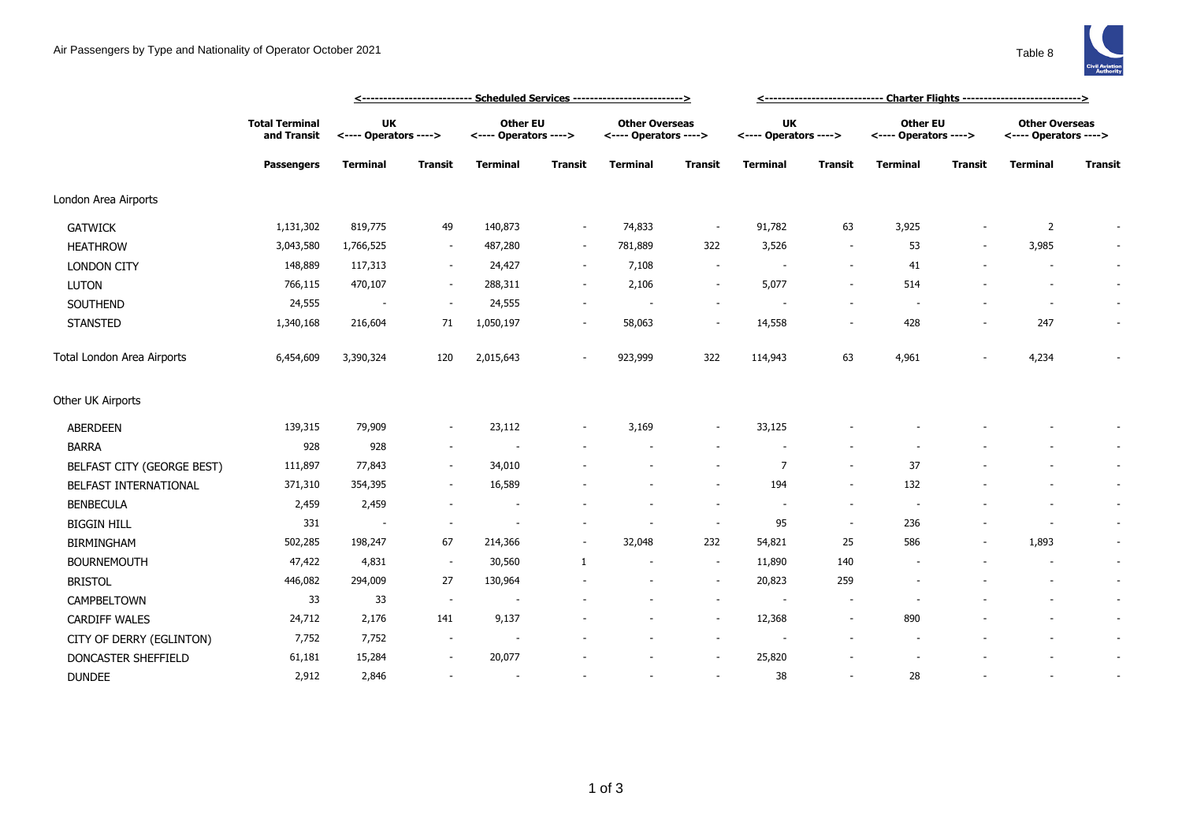

|                            |                                                           | <--------------------------- Scheduled Services ------------------------->> |                          |                                          |                          |                                                |                          | <------------------------------ Charter Flights ----------------------------> |                          |                                   |         |                                                |                |
|----------------------------|-----------------------------------------------------------|-----------------------------------------------------------------------------|--------------------------|------------------------------------------|--------------------------|------------------------------------------------|--------------------------|-------------------------------------------------------------------------------|--------------------------|-----------------------------------|---------|------------------------------------------------|----------------|
|                            | <b>Total Terminal</b><br>and Transit<br><b>Passengers</b> | <b>UK</b><br><---- Operators ---->                                          |                          | <b>Other EU</b><br><---- Operators ----> |                          | <b>Other Overseas</b><br><---- Operators ----> |                          | <b>UK</b><br><---- Operators ---->                                            |                          | Other EU<br><---- Operators ----> |         | <b>Other Overseas</b><br><---- Operators ----> |                |
|                            |                                                           | <b>Terminal</b>                                                             | Transit                  | <b>Terminal</b>                          | <b>Transit</b>           | <b>Terminal</b>                                | <b>Transit</b>           | <b>Terminal</b>                                                               | <b>Transit</b>           | <b>Terminal</b>                   | Transit | Terminal                                       | <b>Transit</b> |
| London Area Airports       |                                                           |                                                                             |                          |                                          |                          |                                                |                          |                                                                               |                          |                                   |         |                                                |                |
| <b>GATWICK</b>             | 1,131,302                                                 | 819,775                                                                     | 49                       | 140,873                                  | $\overline{\phantom{a}}$ | 74,833                                         | $\overline{\phantom{a}}$ | 91,782                                                                        | 63                       | 3,925                             |         | 2                                              |                |
| <b>HEATHROW</b>            | 3,043,580                                                 | 1,766,525                                                                   | $\overline{\phantom{a}}$ | 487,280                                  | $\sim$                   | 781,889                                        | 322                      | 3,526                                                                         | $\overline{\phantom{a}}$ | 53                                |         | 3,985                                          | $\sim$         |
| <b>LONDON CITY</b>         | 148,889                                                   | 117,313                                                                     | $\sim$                   | 24,427                                   | $\sim$                   | 7,108                                          | $\overline{\phantom{a}}$ |                                                                               | $\sim$                   | 41                                |         |                                                | $\sim$         |
| <b>LUTON</b>               | 766,115                                                   | 470,107                                                                     | $\sim$                   | 288,311                                  | $\overline{\phantom{a}}$ | 2,106                                          | $\overline{\phantom{a}}$ | 5,077                                                                         | ÷,                       | 514                               |         |                                                | $\sim$         |
| SOUTHEND                   | 24,555                                                    | $\sim$                                                                      | $\overline{\phantom{a}}$ | 24,555                                   | $\overline{\phantom{a}}$ |                                                | $\overline{\phantom{a}}$ |                                                                               |                          |                                   |         |                                                | $\sim$         |
| <b>STANSTED</b>            | 1,340,168                                                 | 216,604                                                                     | 71                       | 1,050,197                                | $\overline{\phantom{a}}$ | 58,063                                         | $\overline{\phantom{a}}$ | 14,558                                                                        | $\overline{\phantom{a}}$ | 428                               |         | 247                                            | $\sim$         |
| Total London Area Airports | 6,454,609                                                 | 3,390,324                                                                   | 120                      | 2,015,643                                | $\overline{\phantom{a}}$ | 923,999                                        | 322                      | 114,943                                                                       | 63                       | 4,961                             |         | 4,234                                          | $\sim$         |
| Other UK Airports          |                                                           |                                                                             |                          |                                          |                          |                                                |                          |                                                                               |                          |                                   |         |                                                |                |
| <b>ABERDEEN</b>            | 139,315                                                   | 79,909                                                                      | $\overline{\phantom{a}}$ | 23,112                                   |                          | 3,169                                          | $\overline{\phantom{a}}$ | 33,125                                                                        |                          |                                   |         |                                                |                |
| <b>BARRA</b>               | 928                                                       | 928                                                                         | $\overline{\phantom{a}}$ |                                          |                          |                                                | $\overline{\phantom{a}}$ |                                                                               |                          |                                   |         |                                                | $\sim$         |
| BELFAST CITY (GEORGE BEST) | 111,897                                                   | 77,843                                                                      | $\overline{\phantom{a}}$ | 34,010                                   |                          |                                                |                          | $\overline{7}$                                                                |                          | 37                                |         |                                                | $\sim$         |
| BELFAST INTERNATIONAL      | 371,310                                                   | 354,395                                                                     |                          | 16,589                                   |                          |                                                | ٠                        | 194                                                                           | $\overline{\phantom{a}}$ | 132                               |         |                                                | $\sim$         |
| <b>BENBECULA</b>           | 2,459                                                     | 2,459                                                                       |                          |                                          |                          |                                                | $\overline{\phantom{a}}$ | $\sim$                                                                        | $\overline{\phantom{a}}$ |                                   |         |                                                | $\sim$         |
| <b>BIGGIN HILL</b>         | 331                                                       | $\overline{\phantom{a}}$                                                    | $\sim$                   | $\overline{\phantom{a}}$                 |                          |                                                | $\overline{\phantom{a}}$ | 95                                                                            | $\sim$                   | 236                               |         |                                                | $\sim$         |
| <b>BIRMINGHAM</b>          | 502,285                                                   | 198,247                                                                     | 67                       | 214,366                                  | $\overline{\phantom{a}}$ | 32,048                                         | 232                      | 54,821                                                                        | 25                       | 586                               |         | 1,893                                          | $\sim$         |
| <b>BOURNEMOUTH</b>         | 47,422                                                    | 4,831                                                                       | $\sim$                   | 30,560                                   | $\mathbf{1}$             |                                                | $\overline{\phantom{a}}$ | 11,890                                                                        | 140                      |                                   |         |                                                | $\sim$         |
| <b>BRISTOL</b>             | 446,082                                                   | 294,009                                                                     | 27                       | 130,964                                  |                          |                                                | $\overline{\phantom{a}}$ | 20,823                                                                        | 259                      |                                   |         |                                                | $\sim$         |
| CAMPBELTOWN                | 33                                                        | 33                                                                          | $\sim$                   | $\overline{\phantom{a}}$                 |                          |                                                | $\overline{\phantom{a}}$ |                                                                               | $\overline{\phantom{a}}$ |                                   |         |                                                | $\sim$         |
| <b>CARDIFF WALES</b>       | 24,712                                                    | 2,176                                                                       | 141                      | 9,137                                    |                          |                                                | $\overline{\phantom{a}}$ | 12,368                                                                        | $\overline{\phantom{a}}$ | 890                               |         |                                                | $\sim$         |
| CITY OF DERRY (EGLINTON)   | 7,752                                                     | 7,752                                                                       |                          |                                          |                          |                                                | $\overline{\phantom{a}}$ |                                                                               |                          |                                   |         |                                                | $\sim$         |
| DONCASTER SHEFFIELD        | 61,181                                                    | 15,284                                                                      | $\overline{\phantom{a}}$ | 20,077                                   |                          |                                                | $\overline{\phantom{a}}$ | 25,820                                                                        |                          |                                   |         |                                                | $\sim$         |
| <b>DUNDEE</b>              | 2,912                                                     | 2,846                                                                       |                          | $\sim$                                   |                          |                                                | $\overline{\phantom{a}}$ | 38                                                                            | ٠                        | 28                                |         |                                                | $\sim$         |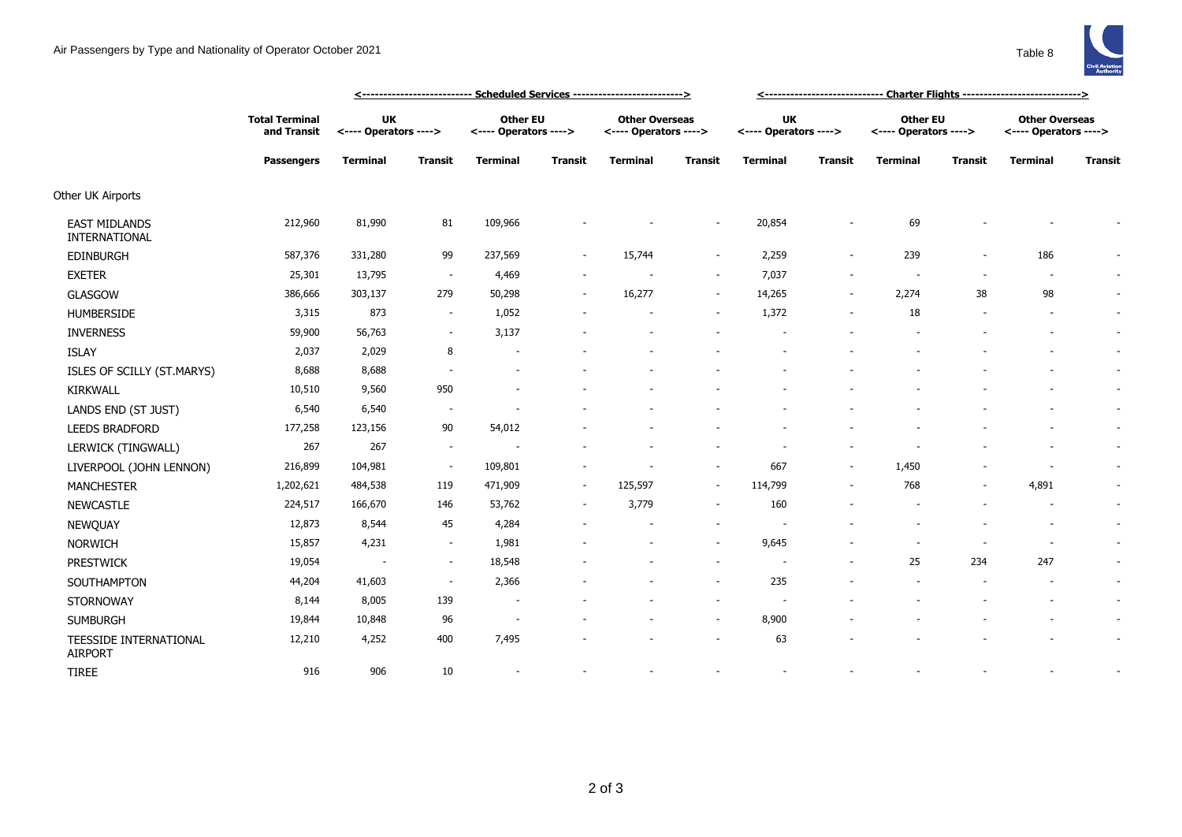

|                                          |                                      | <u> &lt;-------------------------- Scheduled Services --------------------------&gt;</u> |                          |                                          |                |                                                |                |                                    |                          |                                          |                |                                                |                          |
|------------------------------------------|--------------------------------------|------------------------------------------------------------------------------------------|--------------------------|------------------------------------------|----------------|------------------------------------------------|----------------|------------------------------------|--------------------------|------------------------------------------|----------------|------------------------------------------------|--------------------------|
|                                          | <b>Total Terminal</b><br>and Transit | UK<br><---- Operators ---->                                                              |                          | <b>Other EU</b><br><---- Operators ----> |                | <b>Other Overseas</b><br><---- Operators ----> |                | <b>UK</b><br><---- Operators ----> |                          | <b>Other EU</b><br><---- Operators ----> |                | <b>Other Overseas</b><br><---- Operators ----> |                          |
|                                          | <b>Passengers</b>                    | <b>Terminal</b>                                                                          | <b>Transit</b>           | <b>Terminal</b>                          | <b>Transit</b> | <b>Terminal</b>                                | <b>Transit</b> | <b>Terminal</b>                    | <b>Transit</b>           | <b>Terminal</b>                          | <b>Transit</b> | <b>Terminal</b>                                | <b>Transit</b>           |
| Other UK Airports                        |                                      |                                                                                          |                          |                                          |                |                                                |                |                                    |                          |                                          |                |                                                |                          |
| <b>EAST MIDLANDS</b><br>INTERNATIONAL    | 212,960                              | 81,990                                                                                   | 81                       | 109,966                                  |                |                                                |                | 20,854                             |                          | 69                                       |                |                                                |                          |
| <b>EDINBURGH</b>                         | 587,376                              | 331,280                                                                                  | 99                       | 237,569                                  |                | 15,744                                         | $\sim$         | 2,259                              | $\overline{\phantom{a}}$ | 239                                      |                | 186                                            | $\sim$                   |
| <b>EXETER</b>                            | 25,301                               | 13,795                                                                                   | $\overline{\phantom{a}}$ | 4,469                                    |                |                                                | $\sim$         | 7,037                              |                          |                                          |                | $\overline{\phantom{a}}$                       | $\sim$                   |
| GLASGOW                                  | 386,666                              | 303,137                                                                                  | 279                      | 50,298                                   |                | 16,277                                         | $\sim$         | 14,265                             | $\overline{\phantom{a}}$ | 2,274                                    | 38             | 98                                             | $\sim$                   |
| <b>HUMBERSIDE</b>                        | 3,315                                | 873                                                                                      | $\sim$                   | 1,052                                    |                |                                                | $\sim$         | 1,372                              |                          | 18                                       |                | $\overline{\phantom{a}}$                       | $\sim$                   |
| <b>INVERNESS</b>                         | 59,900                               | 56,763                                                                                   | $\sim$                   | 3,137                                    |                |                                                |                |                                    |                          |                                          |                |                                                | $\sim$                   |
| <b>ISLAY</b>                             | 2,037                                | 2,029                                                                                    | 8                        | $\overline{\phantom{a}}$                 |                |                                                |                |                                    |                          |                                          |                |                                                | $\sim$                   |
| ISLES OF SCILLY (ST.MARYS)               | 8,688                                | 8,688                                                                                    |                          | $\overline{\phantom{a}}$                 |                |                                                |                |                                    |                          |                                          |                |                                                | $\overline{\phantom{a}}$ |
| <b>KIRKWALL</b>                          | 10,510                               | 9,560                                                                                    | 950                      |                                          |                |                                                |                |                                    |                          |                                          |                |                                                | $\sim$                   |
| LANDS END (ST JUST)                      | 6,540                                | 6,540                                                                                    |                          |                                          |                |                                                |                |                                    |                          |                                          |                |                                                | $\overline{\phantom{a}}$ |
| <b>LEEDS BRADFORD</b>                    | 177,258                              | 123,156                                                                                  | 90                       | 54,012                                   |                |                                                |                |                                    |                          |                                          |                |                                                | $\sim$                   |
| LERWICK (TINGWALL)                       | 267                                  | 267                                                                                      | $\overline{\phantom{a}}$ |                                          |                |                                                |                |                                    |                          |                                          |                |                                                | $\sim$                   |
| LIVERPOOL (JOHN LENNON)                  | 216,899                              | 104,981                                                                                  | $\sim$                   | 109,801                                  |                |                                                | $\sim$         | 667                                | $\overline{\phantom{a}}$ | 1,450                                    |                |                                                | $\sim$                   |
| <b>MANCHESTER</b>                        | 1,202,621                            | 484,538                                                                                  | 119                      | 471,909                                  | $\sim$         | 125,597                                        | $\sim$         | 114,799                            |                          | 768                                      |                | 4,891                                          | $\overline{\phantom{a}}$ |
| <b>NEWCASTLE</b>                         | 224,517                              | 166,670                                                                                  | 146                      | 53,762                                   | $\sim$         | 3,779                                          | $\sim$         | 160                                |                          |                                          |                | $\overline{\phantom{a}}$                       | $\sim$                   |
| NEWQUAY                                  | 12,873                               | 8,544                                                                                    | 45                       | 4,284                                    |                |                                                |                |                                    |                          |                                          |                | $\overline{\phantom{a}}$                       | $\overline{\phantom{a}}$ |
| <b>NORWICH</b>                           | 15,857                               | 4,231                                                                                    | $\sim$                   | 1,981                                    |                |                                                | $\sim$         | 9,645                              |                          |                                          |                | $\overline{\phantom{a}}$                       | $\sim$                   |
| <b>PRESTWICK</b>                         | 19,054                               | $\overline{\phantom{a}}$                                                                 | $\sim$                   | 18,548                                   |                |                                                |                |                                    |                          | 25                                       | 234            | 247                                            | $\sim$                   |
| SOUTHAMPTON                              | 44,204                               | 41,603                                                                                   | $\sim$                   | 2,366                                    |                |                                                |                | 235                                |                          |                                          |                |                                                | $\sim$                   |
| STORNOWAY                                | 8,144                                | 8,005                                                                                    | 139                      | ٠                                        |                |                                                |                |                                    |                          |                                          |                |                                                | $\sim$                   |
| <b>SUMBURGH</b>                          | 19,844                               | 10,848                                                                                   | 96                       | $\overline{\phantom{a}}$                 |                |                                                | $\sim$         | 8,900                              |                          |                                          |                |                                                | $\overline{\phantom{a}}$ |
| TEESSIDE INTERNATIONAL<br><b>AIRPORT</b> | 12,210                               | 4,252                                                                                    | 400                      | 7,495                                    |                |                                                |                | 63                                 |                          |                                          |                |                                                | $\overline{\phantom{a}}$ |

TIREE 916 906 10 - - - - - - - - - -